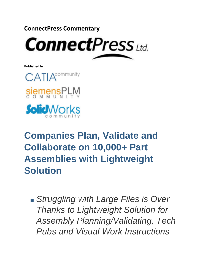**ConnectPress Commentary**



**Published In**





# **Companies Plan, Validate and Collaborate on 10,000+ Part Assemblies with Lightweight Solution**

*Struggling with Large Files is Over Thanks to Lightweight Solution for Assembly Planning/Validating, Tech Pubs and Visual Work Instructions*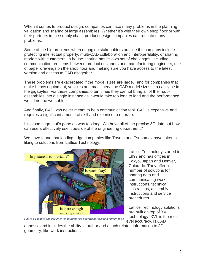When it comes to product design, companies can face many problems in the planning, validation and sharing of large assemblies. Whether it's with their own shop floor or with their partners in the supply chain, product design companies can run into many problems.

Some of the big problems when engaging stakeholders outside the company include protecting intellectual property, multi-CAD collaboration and interoperability, or sharing models with customers. In house-sharing has its own set of challenges, including communication problems between product designers and manufacturing engineers, use of paper drawings on the shop floor and making sure you have access to the latest version and access to CAD altogether.

These problems are exacerbated if the model sizes are large…and for companies that make heavy equipment, vehicles and machinery, the CAD model sizes can easily be in the gigabytes. For these companies, often times they cannot bring all of their subassemblies into a single instance as it would take too long to load and the performance would not be workable.

And finally, CAD was never meant to be a communication tool. CAD is expensive and requires a significant amount of skill and expertise to operate.

It's a sad saga that's gone on way too long. We have all of the precise 3D data but how can users effectively use it outside of the engineering department?

We have found that leading edge companies like Toyota and Tsubamex have taken a liking to solutions from Lattice Technology.



Lattice Technology started in 1997 and has offices in Tokyo, Japan and Denver, Colorado. They offer a number of solutions for sharing data and communicating work instructions, technical illustrations, assembly instructions and service procedures.

Lattice Technology solutions are built on top of XVL technology. XVL is the most evel accuracy, is CAD

*Figure 1 Validate and document manufacturing operations including human tasks*

agnostic and includes the ability to author and attach related information to 3D geometry, like work instructions.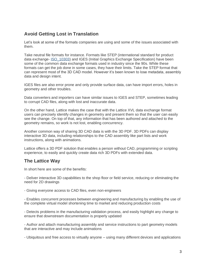## **Avoid Getting Lost in Translation**

Let's look at some of the formats companies are using and some of the issues associated with them.

Take neutral file formats for instance. Formats like STEP (international standard for product data exchange- [ISO\\_10303\)](https://en.wikipedia.org/wiki/ISO_10303) and IGES (Initial Graphics Exchange Specification) have been some of the common data exchange formats used in industry since the 90s. While these formats can get the job done in some cases, they have their limits. Take the STEP format that can represent most of the 3D CAD model. However it's been known to lose metadata, assembly data and design intent.

IGES files are also error prone and only provide surface data, can have import errors, holes in geometry and other troubles.

Data converters and importers can have similar issues to IGES and STEP, sometimes leading to corrupt CAD files, along with lost and inaccurate data.

On the other hand, Lattice makes the case that with the Lattice XVL data exchange format users can precisely identify changes in geometry and present them so that the user can easily see the change. On top of that, any information that has been authored and attached to the geometry remains, so work is not lost, enabling concurrency.

Another common way of sharing 3D CAD data is with the 3D PDF. 3D PDFs can display interactive 3D data, including relationships to the CAD assembly like part lists and work instructions, along with animations.

Lattice offers a 3D PDF solution that enables a person without CAD, programming or scripting experience, to easily and quickly create data rich 3D PDFs with extended data.

## **The Lattice Way**

In short here are some of the benefits:

- Deliver interactive 3D capabilities to the shop floor or field service, reducing or eliminating the need for 2D drawings

- Giving everyone access to CAD files, even non-engineers

- Enables concurrent processes between engineering and manufacturing by enabling the use of the complete virtual model shortening time to market and reducing production costs

- Detects problems in the manufacturing validation process, and easily highlight any change to ensure that downstream documentation is properly updated

- Author and attach manufacturing assembly and service instructions to part geometry models that are interactive and may include animations

- Ubiquitous and free access to virtually anyone – using many different devices and applications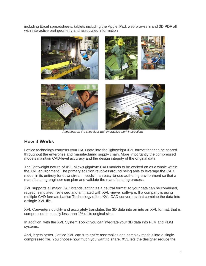including Excel spreadsheets, tablets including the Apple iPad, web browsers and 3D PDF all with interactive part geometry and associated information



*Paperless on the shop floor with interactive work instructions*

#### **How it Works**

Lattice technology converts your CAD data into the lightweight XVL format that can be shared throughout the enterprise and manufacturing supply chain. More importantly the compressed models maintain CAD-level accuracy and the design integrity of the original data.

The lightweight nature of XVL allows gigabyte CAD models to be worked on as a whole within the XVL environment. The primary solution revolves around being able to leverage the CAD model in its entirety for downstream needs in an easy-to-use authoring environment so that a manufacturing engineer can plan and validate the manufacturing process.

XVL supports all major CAD brands, acting as a neutral format so your data can be combined, reused, simulated, reviewed and animated with XVL viewer software. If a company is using multiple CAD formats Lattice Technology offers XVL CAD converters that combine the data into a single XVL file.

XVL Converters quickly and accurately translates the 3D data into an into an XVL format, that is compressed to usually less than 1% of its original size.

In addition, with the XVL System Toolkit you can integrate your 3D data into PLM and PDM systems.

And, it gets better, Lattice XVL can turn entire assemblies and complex models into a single compressed file. You choose how much you want to share. XVL lets the designer reduce the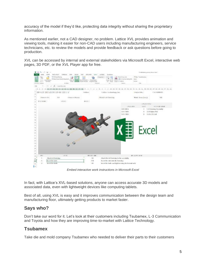accuracy of the model if they'd like, protecting data integrity without sharing the proprietary information.

As mentioned earlier, not a CAD designer, no problem. Lattice XVL provides animation and viewing tools, making it easier for non-CAD users including manufacturing engineers, service technicians, etc. to review the models and provide feedback or ask questions before going to production.

XVL can be accessed by internal and external stakeholders via Microsoft Excel, interactive web pages, 3D PDF, or the XVL Player app for free.



*Embed interactive work instructions in Microsoft Excel*

In fact, with Lattice's XVL-based solutions, anyone can access accurate 3D models and associated data, even with lightweight devices like computing tablets.

Best of all, using XVL is easy and it improves communication between the design team and manufacturing floor, ultimately getting products to market faster.

#### **Says who?**

Don't take our word for it. Let's look at their customers including Tsubamex, L-3 Communication and Toyota and how they are improving time-to-market with Lattice Technology.

#### **Tsubamex**

Take die and mold company Tsubamex who needed to deliver their parts to their customers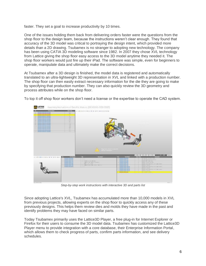faster. They set a goal to increase productivity by 10 times.

One of the issues holding them back from delivering orders faster were the questions from the shop floor to the design team, because the instructions weren't clear enough. They found that accuracy of the 3D model was critical to portraying the design intent, which provided more details than a 2D drawing. Tsubamex is no stranger to adopting new technology. The company has been using CATIA 3D modeling software since 1982. In 2007 they chose XVL technology from Lattice giving the shop floor easy access to the 3D model anytime they needed it. The shop floor workers would just fire up their iPad. The software was simple, even for beginners to operate, manipulate data and ultimately make the correct decisions.

At Tsubamex after a 3D design is finished, the model data is registered and automatically translated to an ultra-lightweight 3D representation in XVL and linked with a production number. The shop floor can then easily extract necessary information for the die they are going to make by specifying that production number. They can also quickly review the 3D geometry and process attributes while on the shop floor.

To top it off shop floor workers don't need a license or the expertise to operate the CAD system.



*Step-by-step work instructions with interactive 3D and parts list*

Since adopting Lattice's XVL, Tsubamex has accumulated more than 10,000 models in XVL from previous projects, allowing experts on the shop floor to quickly access any of these previously designs. This helps them review dies and molds they have made in the past and identify problems they may have faced on similar parts.

Today Tsubamex primarily uses the Lattice3D Player, a free plug-in for Internet Explorer or Firefox for their users to consume the 3D model data. Tsubamex has customized the Lattice3D Player menu to provide integration with a core database, their Enterprise Information Portal, which allows them to check progress of parts, confirm parts information, and see delivery schedules.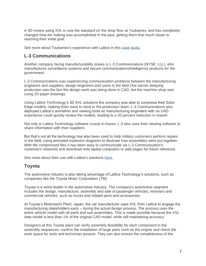A 3D review using XVL is now the standard on the shop floor at Tsubamex, and has completely changed how die making was accomplished in the past, getting them that much closer to reaching their initial goal.

See more about Tsubamex's experience with Lattice in this [case study.](http://www.plmconnections.com/feature_article.php?cpfeatureid=116250&g=2c9ab7ef-0af2-11e6-b7b6-d4ae52bb7f09)

#### **L-3 Communications**

Another company facing manufacturability issues is L-3 Communications (NYSE: LLL), who manufactures surveillance systems and secure communications/intelligence products for the government.

L-3 Communications was experiencing communication problems between the manufacturing engineers and suppliers, design engineers and users in the field.One barrier delaying production was the fact the design work was being done in CAD, but the machine shop was using 2D paper drawings.

Using Lattice Technology's 3D XVL solutions the company was able to compress their Solid Edge models, making them easy to send to the production team. L-3 Communications also deployed Lattice's animation and viewing tools so manufacturing engineers with no CAD experience could quickly review the models, leading to a 20 percent reduction in rework.

Not only is Lattice Technology software crucial in-house, L-3 also uses their viewing software to share information with their suppliers.

But that's not all the technology has also been used to help military customers perform repairs in the field, using animated explosion diagrams to illustrate how assemblies were put together. With the compressed files it has been easy to communicate via L-3 Communication's customers' networks and download onto laptop computers or web pages for future reference.

See more about their use with Lattice's solutions [here.](http://www.assemblymag.com/articles/83777-aia-software-facilitates-engineering-communications)

## **Toyota**

The automotive industry is also taking advantage of Lattice Technology's solutions, such as companies like the Toyota Motor Corporation (TM).

Toyota is a world leader in the automotive industry. The company's automotive segment includes the design, manufacture, assembly and sale of passenger vehicles, minivans and commercial vehicles, such as trucks and related parts and accessories.

At Toyota's Motomachi Plant, Japan, the car manufacturer uses XVL from Lattice to engage the manufacturing stakeholders early – during the actual design process. The process uses the entire vehicle model with all parts and sub-assemblies. This is made possible because the XVL data model is less than 1% of the original CAD model, while still maintaining accuracy.

Designers at this Toyota plant can verify assembly feasibility for each component in the assembly sequences, confirm the installation of large parts such as the engine and check the work space for tools and technician posture. They can also ensure the completeness of the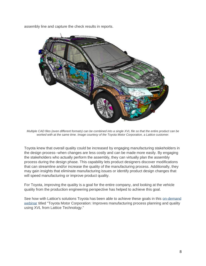assembly line and capture the check results in reports.



*Multiple CAD files (even different formats) can be combined into a single XVL file so that the entire product can be worked with at the same time. Image courtesy of the Toyota Motor Corporation, a Lattice customer.*

Toyota knew that overall quality could be increased by engaging manufacturing stakeholders in the design process--when changes are less costly and can be made more easily. By engaging the stakeholders who actually perform the assembly, they can virtually plan the assembly process during the design phase. This capability lets product designers discover modifications that can streamline and/or increase the quality of the manufacturing process. Additionally, they may gain insights that eliminate manufacturing issues or identify product design changes that will speed manufacturing or improve product quality.

For Toyota, improving the quality is a goal for the entire company, and looking at the vehicle quality from the production engineering perspective has helped to achieve this goal.

See how with Lattice's solutions Toyota has been able to achieve these goals in this on-demand [webinar](http://info.lattice3d.com/toyota-webinar-validation-2) titled "Toyota Motor Corporation: Improves manufacturing process planning and quality using XVL from Lattice Technology."